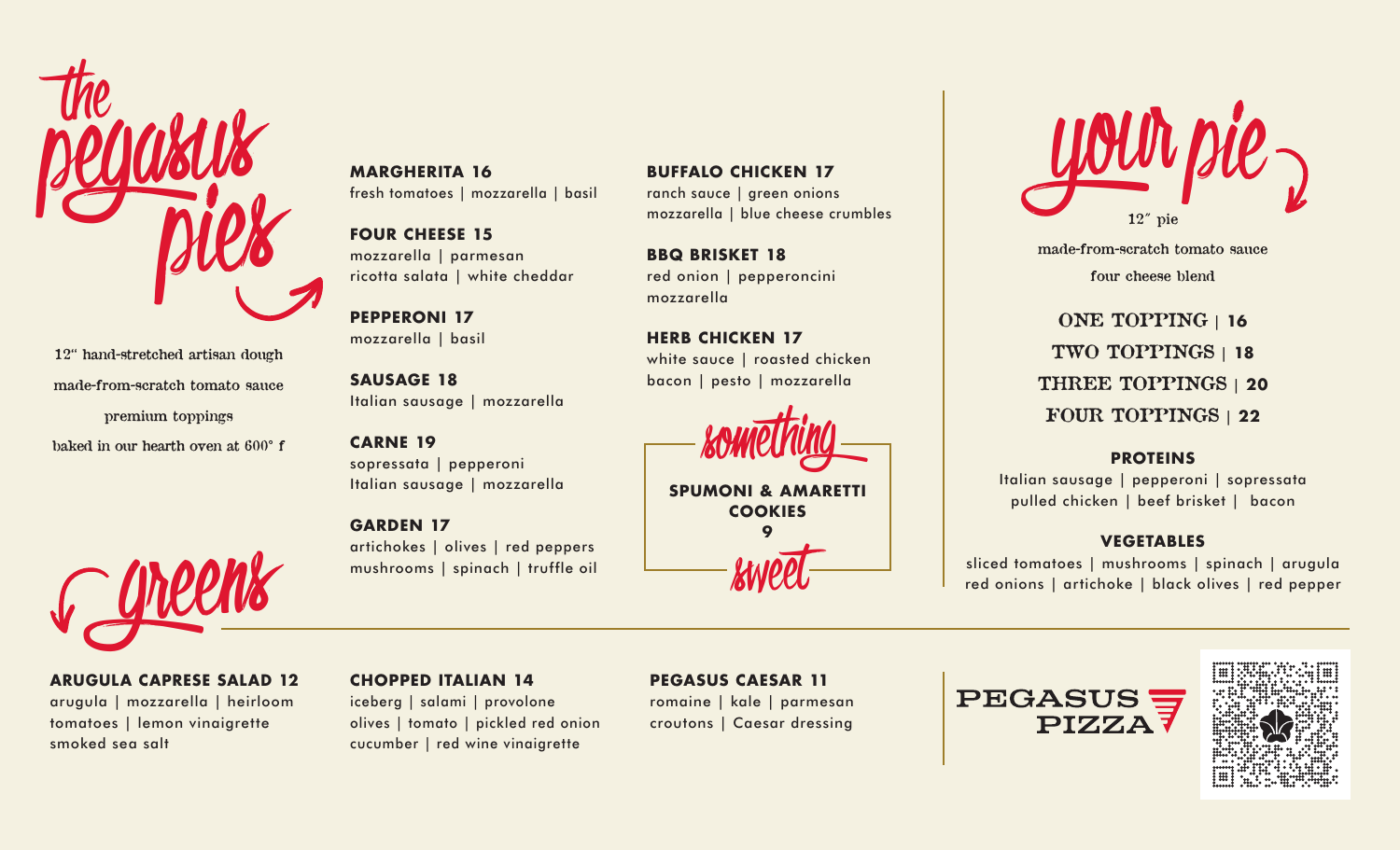

12" hand-stretched artisan dough made-from-scratch tomato sauce premium toppings baked in our hearth oven at 600° f



**ARUGULA CAPRESE SALAD 12** arugula | mozzarella | heirloom tomatoes | lemon vinaigrette smoked sea salt

# **MARGHERITA 16** fresh tomatoes | mozzarella | basil

**FOUR CHEESE 15** mozzarella | parmesan ricotta salata | white cheddar

**PEPPERONI 17** mozzarella | basil

**SAUSAGE 18** Italian sausage | mozzarella

# **CARNE 19**

sopressata | pepperoni Italian sausage | mozzarella

# **GARDEN 17**

artichokes | olives | red peppers mushrooms | spinach | truffle oil

**BUFFALO CHICKEN 17** ranch sauce | green onions mozzarella | blue cheese crumbles

**BBQ BRISKET 18** red onion | pepperoncini mozzarella

**HERB CHICKEN 17** white sauce | roasted chicken bacon | pesto | mozzarella



**SPUMONI & AMARETTI COOKIES 9**

sweet



made-from-scratch tomato sauce four cheese blend

ONE TOPPING | **16** TWO TOPPINGS | **18** THREE TOPPINGS | **20** FOUR TOPPINGS | **22**

#### **PROTEINS**

Italian sausage | pepperoni | sopressata pulled chicken | beef brisket | bacon

# **VEGETABLES**

sliced tomatoes | mushrooms | spinach | arugula red onions | artichoke | black olives | red pepper

#### **CHOPPED ITALIAN 14**

iceberg | salami | provolone olives | tomato | pickled red onion cucumber | red wine vinaigrette

# **PEGASUS CAESAR 11**

romaine | kale | parmesan croutons | Caesar dressing

**PEGASUS PIZZA7**